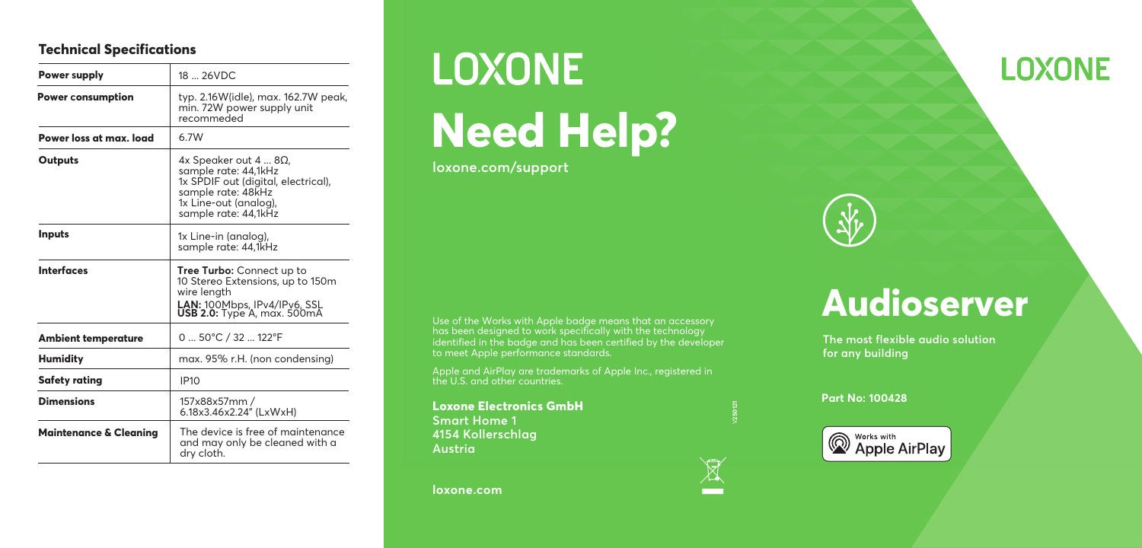#### **Technical Specifications**

| <b>Power supply</b>               | 18  26VDC                                                                                                                                                         |
|-----------------------------------|-------------------------------------------------------------------------------------------------------------------------------------------------------------------|
| <b>Power consumption</b>          | typ. 2.16W(idle), max. 162.7W peak,<br>min. 72W power supply unit<br>recommeded                                                                                   |
| Power loss at max. load           | 6.7W                                                                                                                                                              |
| Outputs                           | $4x$ Speaker out $48\Omega$<br>sample rate: 44,1kHz<br>1x SPDIF out (digital, electrical),<br>sample rate: 48kHz<br>1x Line-out (analog),<br>sample rate: 44,1kHz |
| <b>Inputs</b>                     | 1x Line-in (analog),<br>sample rate: 44,1kHz                                                                                                                      |
| <b>Interfaces</b>                 | <b>Tree Turbo:</b> Connect up to<br>10 Stereo Extensions, up to 150m<br>wire length<br><b>LAN:</b> 100Mbps, IPv4/IPv6, SSL<br><b>USB 2.0:</b> Type A, max. 500mA  |
| <b>Ambient temperature</b>        | 0  50°C / 32  122°F                                                                                                                                               |
| <b>Humidity</b>                   | max. 95% r.H. (non condensing)                                                                                                                                    |
| Safety rating                     | <b>IP10</b>                                                                                                                                                       |
| <b>Dimensions</b>                 | 157x88x57mm /<br>6.18x3.46x2.24" (LxWxH)                                                                                                                          |
| <b>Maintenance &amp; Cleaning</b> | The device is free of maintenance<br>and may only be cleaned with a                                                                                               |



**Need Help?**

**loxone.com/support**

Use of the Works with Apple badge means that an accessory has been designed to work specifically with the technology identified in the badge and has been certified by the developer to meet Apple performance standards.

Apple and AirPlay are trademarks of Apple Inc., registered in the U.S. and other countries.

**Loxone Electronics GmbH Smart Home 1 4154 Kollerschlag Austria**

**loxone.com**



## **LOXONE**



# **Audioserver**

**The most flexible audio solution for any building**

**Part No: 100428**